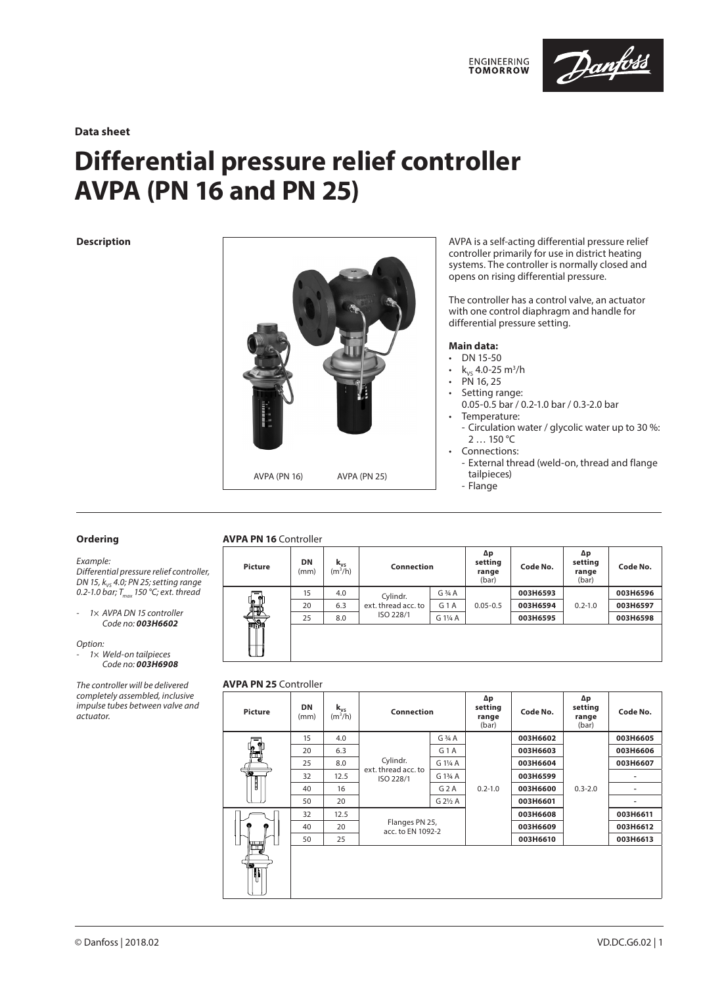



**Data sheet**

# **Differential pressure relief controller AVPA (PN 16 and PN 25)**



controller primarily for use in district heating systems. The controller is normally closed and opens on rising differential pressure.

The controller has a control valve, an actuator with one control diaphragm and handle for differential pressure setting.

### **Main data:**

- DN 15-50
- $k_{vs}$  4.0-25 m<sup>3</sup>/h
- $\vec{PN}$  16, 25
- Setting range:
- 0.05-0.5 bar / 0.2-1.0 bar / 0.3-2.0 bar • Temperature:
- Circulation water / glycolic water up to 30 %: 2 … 150 °C
	- Connections:
	- External thread (weld-on, thread and flange tailpieces)
	- Flange

### **Ordering**

*Example: Differential pressure relief controller, DN 15, k<sub>vs</sub> 4.0; PN 25; setting range 0.2‑1.0 bar; Tmax 150 °C; ext. thread*

### *- 1× AVPA DN 15 controller Code no: 003H6602*

*Option:*

*- 1× Weld-on tailpieces Code no: 003H6908*

*The controller will be delivered completely assembled, inclusive impulse tubes between valve and actuator.*

| <b>AVPA PN 16 Controller</b><br><b>Picture</b> | <b>DN</b><br>(mm) | $k_{vs}$<br>(m <sup>3</sup> /h) | Connection          |                                 | Δр<br>setting<br>range<br>(bar) | Code No. | Δp<br>setting<br>range<br>(bar) | Code No. |
|------------------------------------------------|-------------------|---------------------------------|---------------------|---------------------------------|---------------------------------|----------|---------------------------------|----------|
| ij                                             | 15                | 4.0                             | Cylindr.            | G <sup>3</sup> / <sub>4</sub> A |                                 | 003H6593 |                                 | 003H6596 |
| <b>Keep</b>                                    | 20                | 6.3                             | ext. thread acc. to | G1A                             | $0.05 - 0.5$                    | 003H6594 | $0.2 - 1.0$                     | 003H6597 |
|                                                | 25                | 8.0                             | ISO 228/1           | G 11/4 A                        |                                 | 003H6595 |                                 | 003H6598 |
|                                                |                   |                                 |                     |                                 |                                 |          |                                 |          |

## **AVPA PN 25** Controller

| <b>Picture</b>                        | <b>DN</b><br>(mm) | $k_{vs}$<br>(m <sup>3</sup> /h) | Connection                          |                                 | Δp<br>setting<br>range<br>(bar) | Code No. | Δp<br>setting<br>range<br>(bar) | Code No. |
|---------------------------------------|-------------------|---------------------------------|-------------------------------------|---------------------------------|---------------------------------|----------|---------------------------------|----------|
| $=$                                   | 15                | 4.0                             |                                     | G <sup>3</sup> / <sub>4</sub> A |                                 | 003H6602 |                                 | 003H6605 |
|                                       | 20                | 6.3                             |                                     | G <sub>1</sub> A                |                                 | 003H6603 |                                 | 003H6606 |
|                                       | 25                | 8.0                             | Cylindr.<br>ext. thread acc. to     | G 11/4 A                        |                                 | 003H6604 |                                 | 003H6607 |
| 专                                     | 32                | 12.5                            | ISO 228/1                           | G 13/4 A                        |                                 | 003H6599 |                                 | ۰        |
| I                                     | 40                | 16                              |                                     | $G$ 2 A                         | $0.2 - 1.0$                     | 003H6600 | $0.3 - 2.0$                     | ۰        |
|                                       | 50                | 20                              |                                     | G 21/2 A                        |                                 | 003H6601 |                                 |          |
|                                       | 32                | 12.5                            |                                     |                                 |                                 | 003H6608 |                                 | 003H6611 |
|                                       | 40                | 20                              | Flanges PN 25,<br>acc. to EN 1092-2 |                                 |                                 | 003H6609 |                                 | 003H6612 |
| بسيرا                                 | 50                | 25                              |                                     |                                 |                                 | 003H6610 |                                 | 003H6613 |
| ┯<br>il s<br>$\left\  \cdot \right\ $ |                   |                                 |                                     |                                 |                                 |          |                                 |          |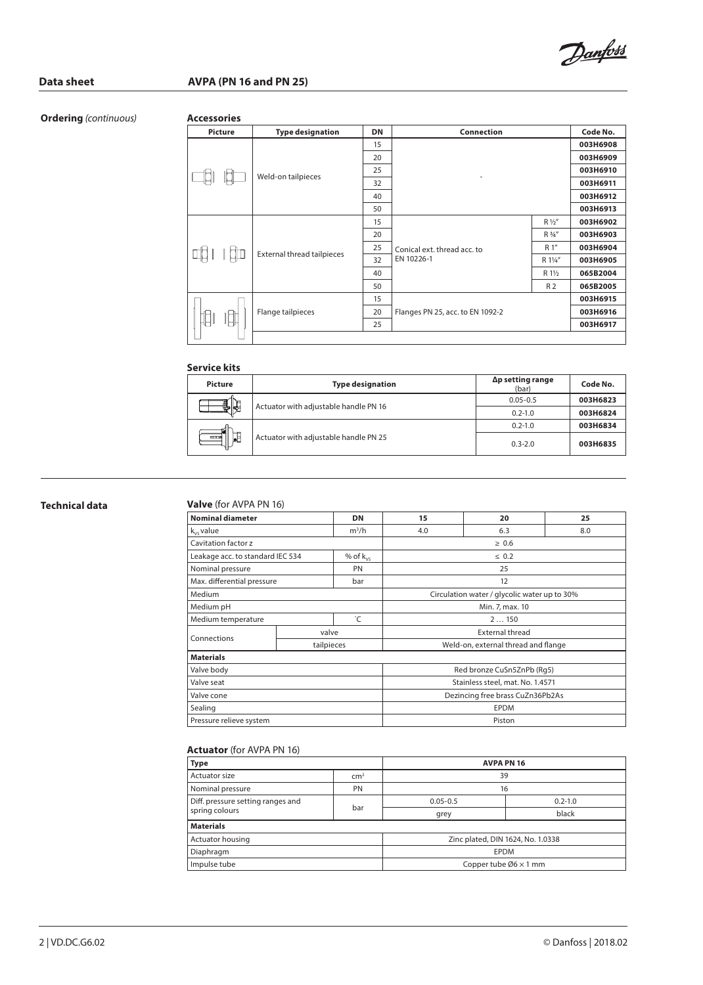

# **Ordering** *(continuous)* **Accessories**

| <b>Picture</b> | <b>Type designation</b>           | <b>DN</b> | Connection                       |                                 | Code No. |
|----------------|-----------------------------------|-----------|----------------------------------|---------------------------------|----------|
|                |                                   | 15        |                                  |                                 | 003H6908 |
|                |                                   | 20        |                                  |                                 | 003H6909 |
|                |                                   | 25        |                                  |                                 | 003H6910 |
|                | Weld-on tailpieces                | 32        |                                  |                                 | 003H6911 |
|                |                                   | 40        |                                  |                                 | 003H6912 |
|                |                                   | 50        |                                  |                                 | 003H6913 |
|                |                                   | 15        |                                  | $R\frac{1}{2}$                  | 003H6902 |
|                |                                   | 20        |                                  | R 3/4"                          | 003H6903 |
|                |                                   | 25        | Conical ext, thread acc, to      | R 1"                            | 003H6904 |
|                | <b>External thread tailpieces</b> | 32        | EN 10226-1                       | R 11/4"                         | 003H6905 |
|                |                                   | 40        |                                  | R 1 <sup>1</sup> / <sub>2</sub> | 065B2004 |
|                |                                   | 50        |                                  | R <sub>2</sub>                  | 065B2005 |
|                |                                   | 15        |                                  |                                 | 003H6915 |
|                | Flange tailpieces                 | 20        | Flanges PN 25, acc. to EN 1092-2 |                                 | 003H6916 |
| 唧              |                                   | 25        |                                  |                                 | 003H6917 |
|                |                                   |           |                                  |                                 |          |

# **Service kits**

| Picture                       | <b>Type designation</b>               | $\Delta p$ setting range<br>(bar) | Code No. |
|-------------------------------|---------------------------------------|-----------------------------------|----------|
| ``Fi                          |                                       | $0.05 - 0.5$                      | 003H6823 |
| 我医                            | Actuator with adjustable handle PN 16 | $0.2 - 1.0$                       | 003H6824 |
|                               |                                       | $0.2 - 1.0$                       | 003H6834 |
| 届<br>$\overline{\phantom{a}}$ | Actuator with adjustable handle PN 25 | $0.3 - 2.0$                       | 003H6835 |

# **Technical data**

# **Valve** (for AVPA PN 16)

| <b>Nominal diameter</b>          |            | <b>DN</b>     | 15                     | 20                                           | 25  |  |  |
|----------------------------------|------------|---------------|------------------------|----------------------------------------------|-----|--|--|
| $k_{vs}$ value                   |            | $m^3/h$       | 4.0                    | 6.3                                          | 8.0 |  |  |
| Cavitation factor z              |            |               |                        | $\geq 0.6$                                   |     |  |  |
| Leakage acc. to standard IEC 534 |            | % of $k_{vs}$ | $\leq 0.2$             |                                              |     |  |  |
| Nominal pressure                 |            | PN            |                        | 25                                           |     |  |  |
| Max. differential pressure       |            | bar           |                        | 12                                           |     |  |  |
| Medium                           |            |               |                        | Circulation water / glycolic water up to 30% |     |  |  |
| Medium pH                        |            |               | Min. 7, max. 10        |                                              |     |  |  |
| Medium temperature               |            | °C.           | 2150                   |                                              |     |  |  |
| Connections                      | valve      |               | <b>External thread</b> |                                              |     |  |  |
|                                  | tailpieces |               |                        | Weld-on, external thread and flange          |     |  |  |
| <b>Materials</b>                 |            |               |                        |                                              |     |  |  |
| Valve body                       |            |               |                        | Red bronze CuSn5ZnPb (Rq5)                   |     |  |  |
| Valve seat                       |            |               |                        | Stainless steel, mat. No. 1.4571             |     |  |  |
| Valve cone                       |            |               |                        | Dezincing free brass CuZn36Pb2As             |     |  |  |
| Sealing                          |            |               |                        | <b>EPDM</b>                                  |     |  |  |
| Pressure relieve system          |            |               |                        | Piston                                       |     |  |  |

# **Actuator** (for AVPA PN 16)

| Type                              |                 | <b>AVPA PN 16</b>                       |             |  |  |
|-----------------------------------|-----------------|-----------------------------------------|-------------|--|--|
| Actuator size                     | cm <sup>2</sup> | 39                                      |             |  |  |
| Nominal pressure                  | <b>PN</b>       | 16                                      |             |  |  |
| Diff. pressure setting ranges and |                 | $0.05 - 0.5$                            | $0.2 - 1.0$ |  |  |
| spring colours                    | bar             | grey                                    | black       |  |  |
| <b>Materials</b>                  |                 |                                         |             |  |  |
| Actuator housing                  |                 | Zinc plated, DIN 1624, No. 1.0338       |             |  |  |
| Diaphragm                         |                 | <b>EPDM</b>                             |             |  |  |
| Impulse tube                      |                 | Copper tube $\emptyset$ 6 $\times$ 1 mm |             |  |  |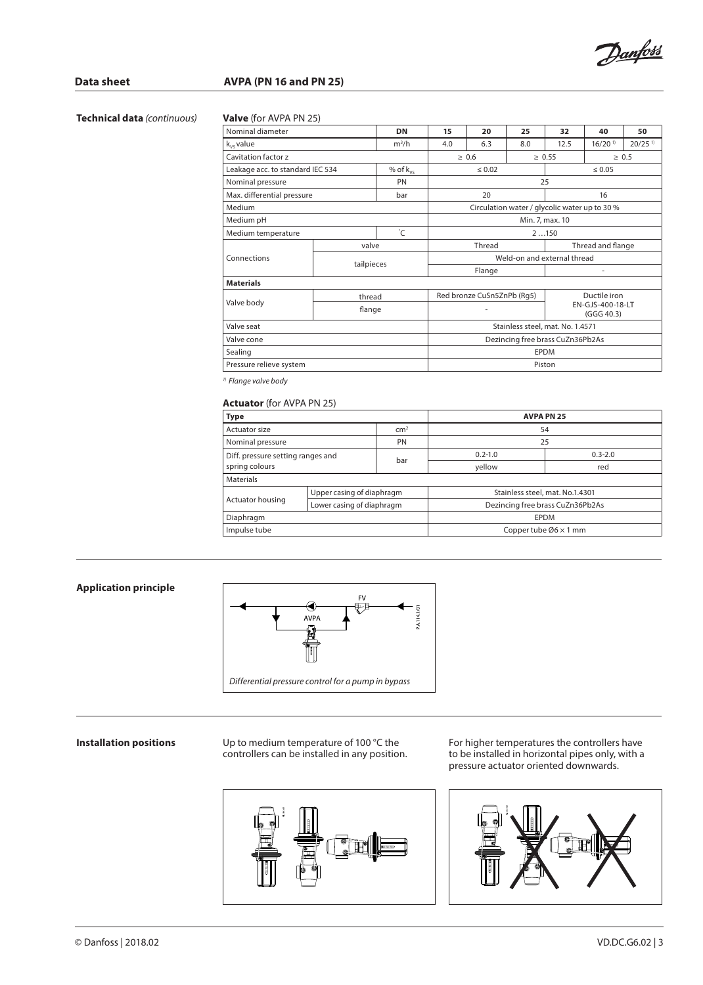

**Technical data** *(continuous)*

### **Valve** (for AVPA PN 25)

| Nominal diameter                 |                      | <b>DN</b>                   | 15                                            | 20                         | 25                               | 32          | 40                                | 50                    |  |  |
|----------------------------------|----------------------|-----------------------------|-----------------------------------------------|----------------------------|----------------------------------|-------------|-----------------------------------|-----------------------|--|--|
| $k_{vs}$ value                   |                      | $m^3/h$                     | 4.0                                           | 6.3                        | 8.0                              | 12.5        | $16/20$ <sup>1)</sup>             | $20/25$ <sup>1)</sup> |  |  |
| Cavitation factor z              |                      |                             |                                               | $\geq 0.6$                 |                                  | $\geq 0.55$ |                                   | $\geq 0.5$            |  |  |
| Leakage acc. to standard IEC 534 |                      | % of $k_{vs}$               |                                               | ${}_{5.02}$                |                                  |             | < 0.05                            |                       |  |  |
| Nominal pressure<br>PN           |                      |                             | 25                                            |                            |                                  |             |                                   |                       |  |  |
| Max. differential pressure       |                      | bar                         |                                               | 20                         |                                  |             | 16                                |                       |  |  |
| Medium                           |                      |                             | Circulation water / glycolic water up to 30 % |                            |                                  |             |                                   |                       |  |  |
| Medium pH                        |                      |                             | Min. 7, max. 10                               |                            |                                  |             | Thread and flange<br>Ductile iron |                       |  |  |
| Medium temperature               |                      | $\overline{C}$              | 2150                                          |                            |                                  |             |                                   |                       |  |  |
|                                  | valve                |                             |                                               | Thread                     |                                  |             |                                   |                       |  |  |
| Connections                      |                      | Weld-on and external thread |                                               |                            |                                  |             |                                   |                       |  |  |
|                                  | tailpieces           |                             |                                               | Flange                     |                                  |             |                                   |                       |  |  |
| <b>Materials</b>                 |                      |                             |                                               |                            |                                  |             |                                   |                       |  |  |
|                                  | thread               |                             |                                               | Red bronze CuSn5ZnPb (Rq5) |                                  |             |                                   |                       |  |  |
|                                  | Valve body<br>flange |                             |                                               | ä,                         |                                  |             | EN-GJS-400-18-LT<br>(GGG 40.3)    |                       |  |  |
| Valve seat                       |                      |                             |                                               |                            | Stainless steel, mat. No. 1.4571 |             |                                   |                       |  |  |
| Valve cone                       |                      |                             |                                               |                            | Dezincing free brass CuZn36Pb2As |             |                                   |                       |  |  |
| Sealing                          |                      |                             |                                               |                            |                                  | <b>EPDM</b> |                                   |                       |  |  |
| Pressure relieve system          |                      |                             |                                               |                            |                                  | Piston      |                                   |                       |  |  |

*1) Flange valve body*

# **Actuator** (for AVPA PN 25)

| <b>Type</b>                       |                           |                 | <b>AVPA PN 25</b>                       |             |
|-----------------------------------|---------------------------|-----------------|-----------------------------------------|-------------|
| Actuator size                     |                           | cm <sup>2</sup> | 54                                      |             |
| Nominal pressure                  |                           | PN              | 25                                      |             |
| Diff. pressure setting ranges and |                           |                 | $0.2 - 1.0$                             | $0.3 - 2.0$ |
| spring colours                    |                           | bar             | yellow                                  | red         |
| <b>Materials</b>                  |                           |                 |                                         |             |
|                                   | Upper casing of diaphragm |                 | Stainless steel, mat. No.1.4301         |             |
| Actuator housing                  | Lower casing of diaphragm |                 | Dezincing free brass CuZn36Pb2As        |             |
| Diaphragm                         |                           |                 | <b>EPDM</b>                             |             |
| Impulse tube                      |                           |                 | Copper tube $\emptyset$ 6 $\times$ 1 mm |             |

# **Application principle**



**Installation positions** Up to medium temperature of 100 °C the controllers can be installed in any position.



For higher temperatures the controllers have to be installed in horizontal pipes only, with a pressure actuator oriented downwards.

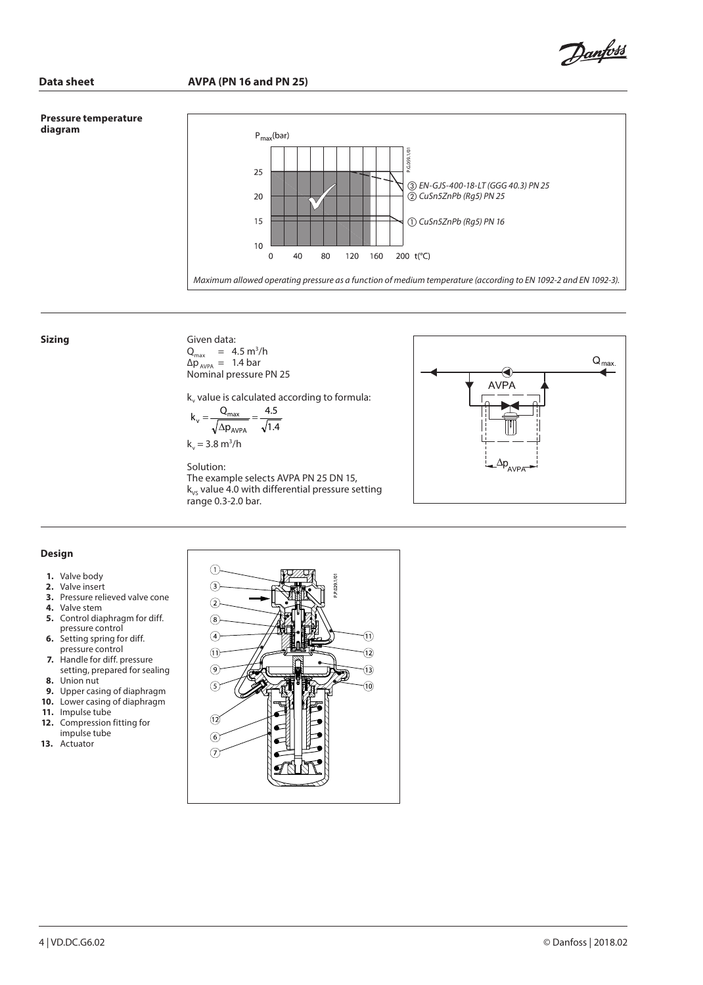

### **Pressure temperature diagram**



**Sizing** Given data:  $Q_{\text{max}} = 4.5 \text{ m}^3/\text{h}$  $\Delta p$ <sub>AVPA</sub> = 1.4 bar Nominal pressure PN 25

 $k_{v}$  value is calculated according to formula:

$$
k_v = \frac{Q_{\text{max}}}{\sqrt{\Delta p_{\text{AVPA}}}} = \frac{4.5}{\sqrt{1.4}}
$$

$$
k_{v} = 3.8 \text{ m}^3/h
$$

Solution: The example selects AVPA PN 25 DN 15,  $k_{vs}$  value 4.0 with differential pressure setting range 0.3-2.0 bar.



### **Design**

- **1.** Valve body
- **2.** Valve insert
- **3.** Pressure relieved valve cone
- **4.** Valve stem
- **5.** Control diaphragm for diff. pressure control
- **6.** Setting spring for diff. pressure control
- **7.** Handle for diff. pressure setting, prepared for sealing
- **8.** Union nut
- **9.** Upper casing of diaphragm
- **10.** Lower casing of diaphragm
- **11.** Impulse tube **12.** Compression fitting for
- impulse tube
- **13.** Actuator

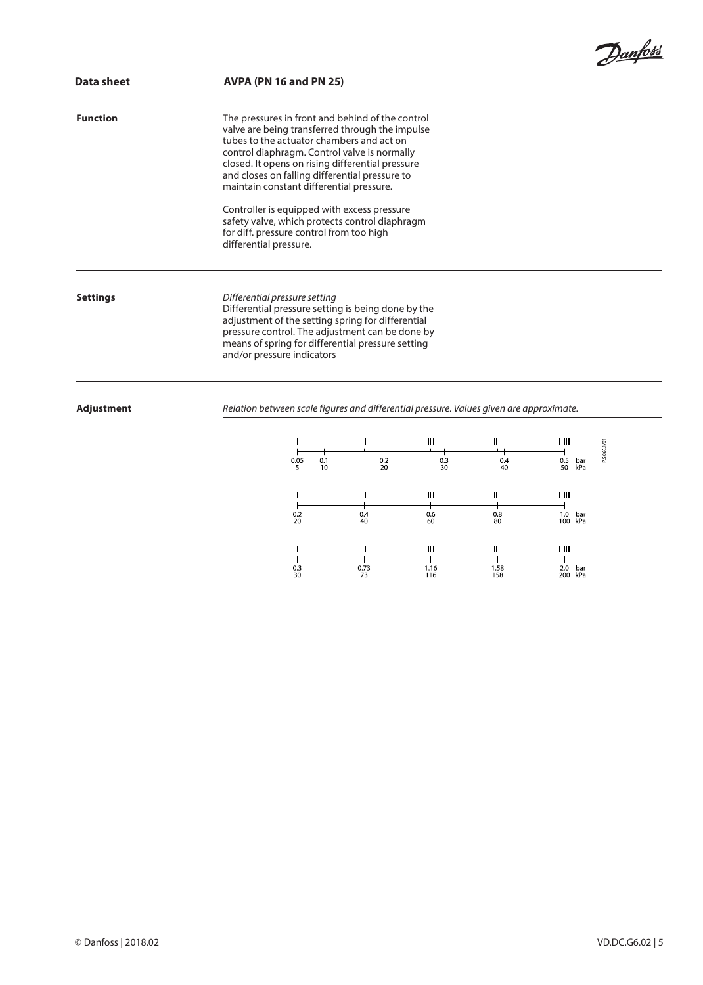Danfoss **Data sheet AVPA (PN 16 and PN 25) Function** The pressures in front and behind of the control valve are being transferred through the impulse tubes to the actuator chambers and act on control diaphragm. Control valve is normally closed. It opens on rising differential pressure and closes on falling differential pressure to maintain constant differential pressure. Controller is equipped with excess pressure safety valve, which protects control diaphragm for diff. pressure control from too high differential pressure.

**Settings** *Differential pressure setting* Differential pressure setting is being done by the adjustment of the setting spring for differential pressure control. The adjustment can be done by means of spring for differential pressure setting and/or pressure indicators

**Adjustment** *Relation between scale figures and differential pressure. Values given are approximate.*

| 0.05<br>0.1 | $\mathbf l$                                               | Ш<br>0.3     | Ш<br>0.4               | IIIII<br>bar                                                      | P.S.060.1/01 |
|-------------|-----------------------------------------------------------|--------------|------------------------|-------------------------------------------------------------------|--------------|
| 5<br>10     | $\begin{array}{c} 0.2 \\ 20 \end{array}$<br>$\mathbf{II}$ | 30<br>Ш      | 40<br>Ш                | $\begin{array}{c} 0.5 \\ 50 \end{array}$<br>kPa<br>$\mathbf{III}$ |              |
| 0.2<br>20   | 0.4<br>40                                                 | 0.6<br>60    | $\substack{0.8 \\ 80}$ | 1.0<br>bar<br>kPa<br>100                                          |              |
|             | $\mathbf{II}$                                             | $\mathbf{m}$ | III                    | IIIII                                                             |              |
| 0.3<br>30   | 0.73<br>73                                                | 1.16<br>116  | 1.58<br>158            | 2.0<br>bar<br>200<br>kPa                                          |              |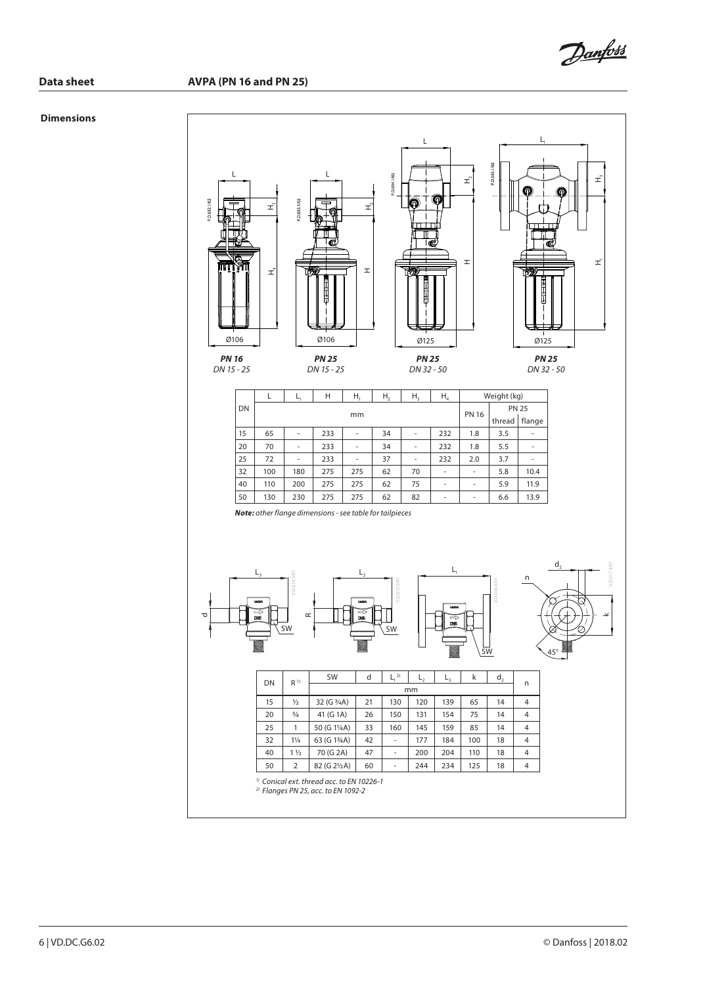Danfoss

### **Dimensions**

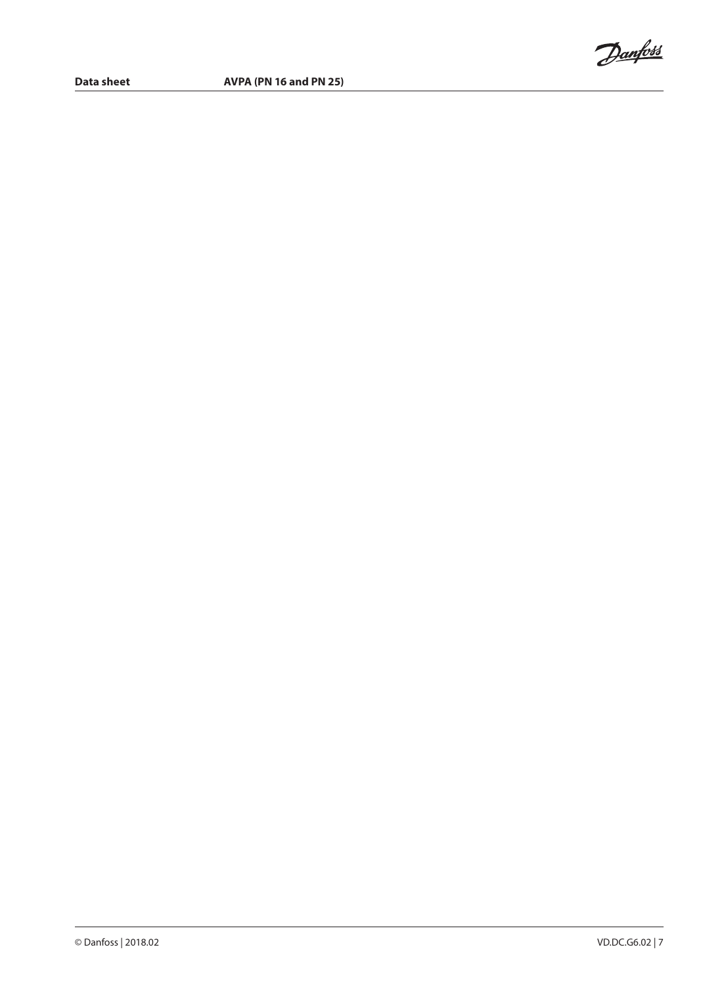Danfoss